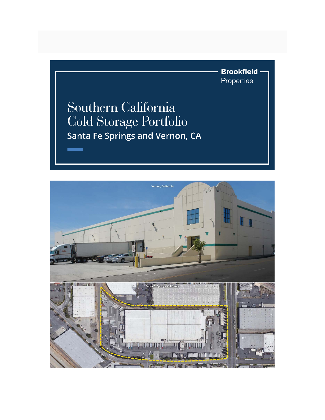**Brookfield** Properties

## Southern California Cold Storage Portfolio Santa Fe Springs and Vernon, CA

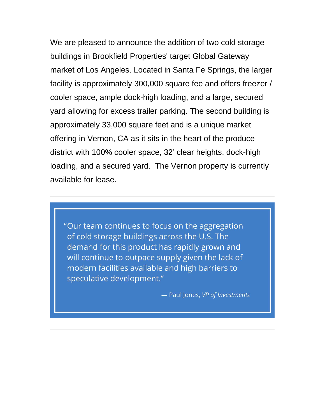We are pleased to announce the addition of two cold storage buildings in Brookfield Properties' target Global Gateway market of Los Angeles. Located in Santa Fe Springs, the larger facility is approximately 300,000 square fee and offers freezer / cooler space, ample dock-high loading, and a large, secured yard allowing for excess trailer parking. The second building is approximately 33,000 square feet and is a unique market offering in Vernon, CA as it sits in the heart of the produce district with 100% cooler space, 32' clear heights, dock-high loading, and a secured yard. The Vernon property is currently available for lease.

"Our team continues to focus on the aggregation of cold storage buildings across the U.S. The demand for this product has rapidly grown and will continue to outpace supply given the lack of modern facilities available and high barriers to speculative development."

- Paul Jones, VP of Investments